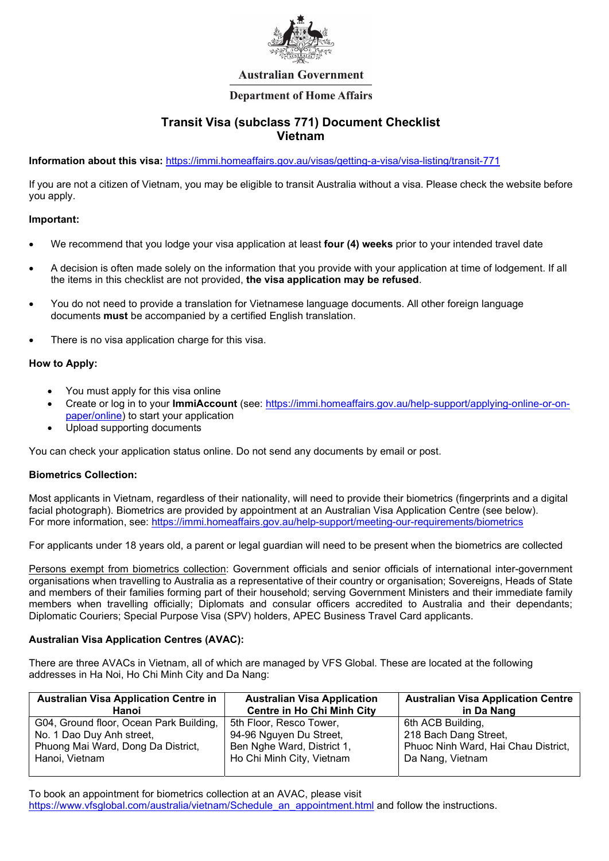

# **Australian Government**

# **Department of Home Affairs**

# Transit Visa (subclass 771) Document Checklist Vietnam

Information about this visa: https://immi.homeaffairs.gov.au/visas/getting-a-visa/visa-listing/transit-771

If you are not a citizen of Vietnam, you may be eligible to transit Australia without a visa. Please check the website before you apply.

# Important:

- We recommend that you lodge your visa application at least four (4) weeks prior to your intended travel date
- A decision is often made solely on the information that you provide with your application at time of lodgement. If all the items in this checklist are not provided, the visa application may be refused.
- You do not need to provide a translation for Vietnamese language documents. All other foreign language documents must be accompanied by a certified English translation.
- There is no visa application charge for this visa.

#### How to Apply:

- You must apply for this visa online
- Create or log in to your ImmiAccount (see: https://immi.homeaffairs.gov.au/help-support/applying-online-or-onpaper/online) to start your application
- Upload supporting documents

You can check your application status online. Do not send any documents by email or post.

# Biometrics Collection:

Most applicants in Vietnam, regardless of their nationality, will need to provide their biometrics (fingerprints and a digital facial photograph). Biometrics are provided by appointment at an Australian Visa Application Centre (see below). For more information, see: https://immi.homeaffairs.gov.au/help-support/meeting-our-requirements/biometrics

For applicants under 18 years old, a parent or legal guardian will need to be present when the biometrics are collected

Persons exempt from biometrics collection: Government officials and senior officials of international inter-government organisations when travelling to Australia as a representative of their country or organisation; Sovereigns, Heads of State and members of their families forming part of their household; serving Government Ministers and their immediate family members when travelling officially; Diplomats and consular officers accredited to Australia and their dependants; Diplomatic Couriers; Special Purpose Visa (SPV) holders, APEC Business Travel Card applicants.

# Australian Visa Application Centres (AVAC):

There are three AVACs in Vietnam, all of which are managed by VFS Global. These are located at the following addresses in Ha Noi, Ho Chi Minh City and Da Nang:

| <b>Australian Visa Application Centre in</b> | <b>Australian Visa Application</b> | <b>Australian Visa Application Centre</b> |
|----------------------------------------------|------------------------------------|-------------------------------------------|
| Hanoi                                        | <b>Centre in Ho Chi Minh City</b>  | in Da Nang                                |
| G04, Ground floor, Ocean Park Building,      | 5th Floor, Resco Tower,            | 6th ACB Building,                         |
| No. 1 Dao Duy Anh street,                    | 94-96 Nguyen Du Street,            | 218 Bach Dang Street,                     |
| Phuong Mai Ward, Dong Da District,           | Ben Nghe Ward, District 1,         | Phuoc Ninh Ward, Hai Chau District,       |
| Hanoi, Vietnam                               | Ho Chi Minh City, Vietnam          | Da Nang, Vietnam                          |
|                                              |                                    |                                           |

To book an appointment for biometrics collection at an AVAC, please visit https://www.vfsglobal.com/australia/vietnam/Schedule\_an\_appointment.html and follow the instructions.